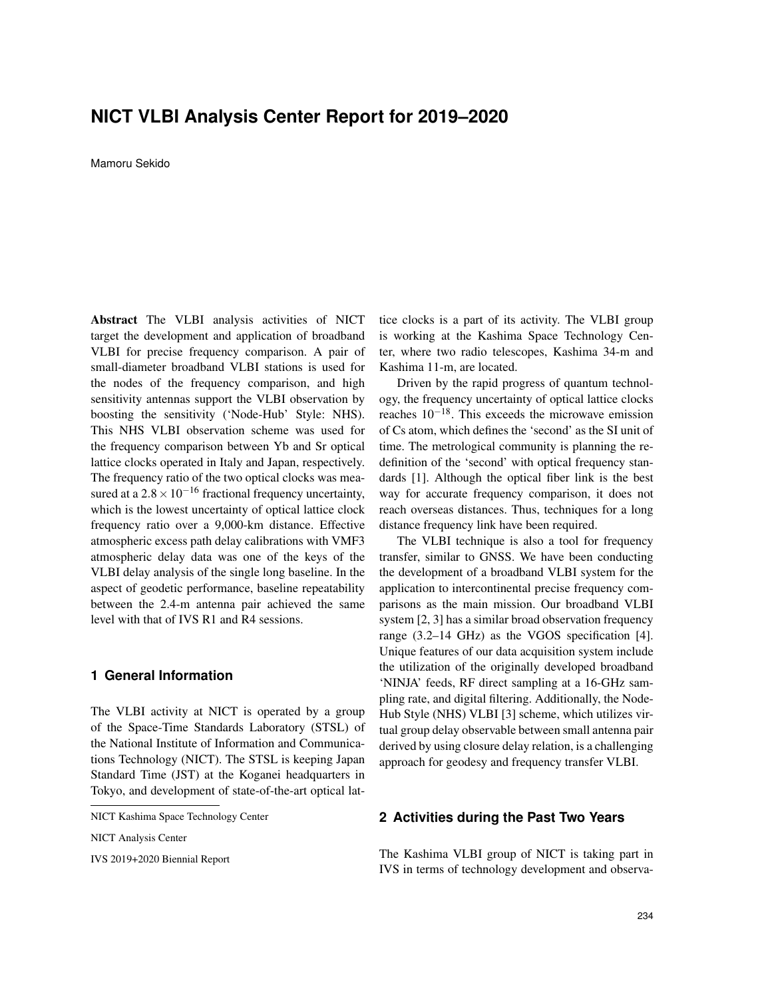# **NICT VLBI Analysis Center Report for 2019–2020**

Mamoru Sekido

Abstract The VLBI analysis activities of NICT target the development and application of broadband VLBI for precise frequency comparison. A pair of small-diameter broadband VLBI stations is used for the nodes of the frequency comparison, and high sensitivity antennas support the VLBI observation by boosting the sensitivity ('Node-Hub' Style: NHS). This NHS VLBI observation scheme was used for the frequency comparison between Yb and Sr optical lattice clocks operated in Italy and Japan, respectively. The frequency ratio of the two optical clocks was measured at a  $2.8 \times 10^{-16}$  fractional frequency uncertainty, which is the lowest uncertainty of optical lattice clock frequency ratio over a 9,000-km distance. Effective atmospheric excess path delay calibrations with VMF3 atmospheric delay data was one of the keys of the VLBI delay analysis of the single long baseline. In the aspect of geodetic performance, baseline repeatability between the 2.4-m antenna pair achieved the same level with that of IVS R1 and R4 sessions.

## **1 General Information**

The VLBI activity at NICT is operated by a group of the Space-Time Standards Laboratory (STSL) of the National Institute of Information and Communications Technology (NICT). The STSL is keeping Japan Standard Time (JST) at the Koganei headquarters in Tokyo, and development of state-of-the-art optical lat-

IVS 2019+2020 Biennial Report

tice clocks is a part of its activity. The VLBI group is working at the Kashima Space Technology Center, where two radio telescopes, Kashima 34-m and Kashima 11-m, are located.

Driven by the rapid progress of quantum technology, the frequency uncertainty of optical lattice clocks reaches 10−18. This exceeds the microwave emission of Cs atom, which defines the 'second' as the SI unit of time. The metrological community is planning the redefinition of the 'second' with optical frequency standards [1]. Although the optical fiber link is the best way for accurate frequency comparison, it does not reach overseas distances. Thus, techniques for a long distance frequency link have been required.

The VLBI technique is also a tool for frequency transfer, similar to GNSS. We have been conducting the development of a broadband VLBI system for the application to intercontinental precise frequency comparisons as the main mission. Our broadband VLBI system [2, 3] has a similar broad observation frequency range (3.2–14 GHz) as the VGOS specification [4]. Unique features of our data acquisition system include the utilization of the originally developed broadband 'NINJA' feeds, RF direct sampling at a 16-GHz sampling rate, and digital filtering. Additionally, the Node-Hub Style (NHS) VLBI [3] scheme, which utilizes virtual group delay observable between small antenna pair derived by using closure delay relation, is a challenging approach for geodesy and frequency transfer VLBI.

### **2 Activities during the Past Two Years**

The Kashima VLBI group of NICT is taking part in IVS in terms of technology development and observa-

NICT Kashima Space Technology Center

NICT Analysis Center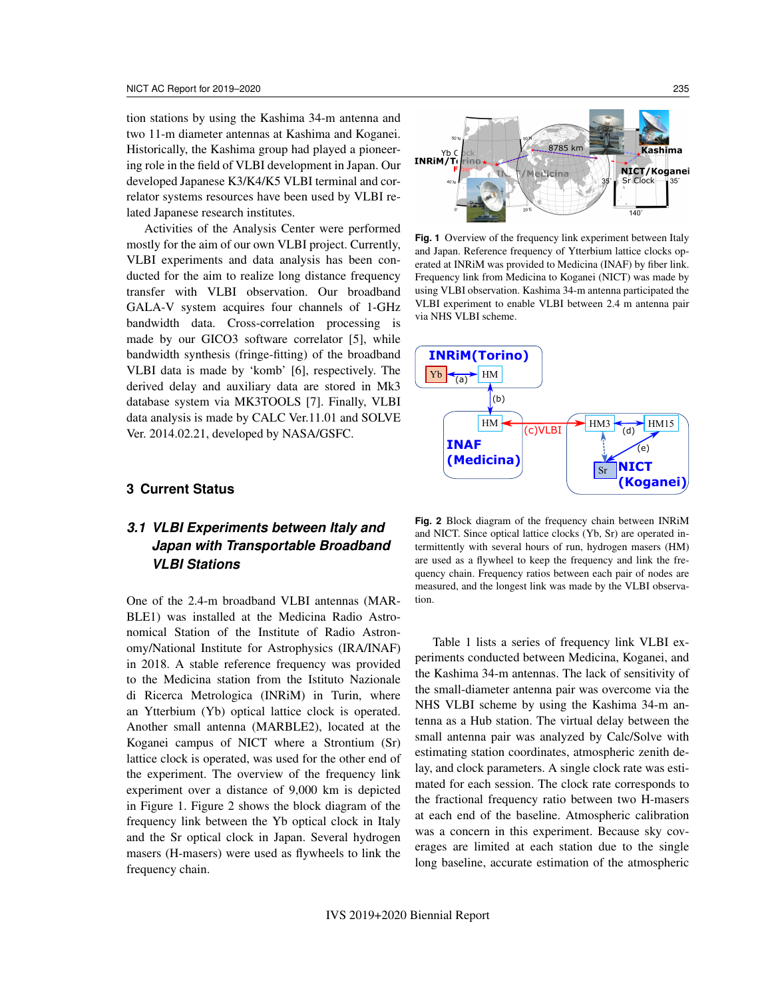tion stations by using the Kashima 34-m antenna and two 11-m diameter antennas at Kashima and Koganei. Historically, the Kashima group had played a pioneering role in the field of VLBI development in Japan. Our developed Japanese K3/K4/K5 VLBI terminal and correlator systems resources have been used by VLBI related Japanese research institutes.

Activities of the Analysis Center were performed mostly for the aim of our own VLBI project. Currently, VLBI experiments and data analysis has been conducted for the aim to realize long distance frequency transfer with VLBI observation. Our broadband GALA-V system acquires four channels of 1-GHz bandwidth data. Cross-correlation processing is made by our GICO3 software correlator [5], while bandwidth synthesis (fringe-fitting) of the broadband VLBI data is made by 'komb' [6], respectively. The derived delay and auxiliary data are stored in Mk3 database system via MK3TOOLS [7]. Finally, VLBI data analysis is made by CALC Ver.11.01 and SOLVE Ver. 2014.02.21, developed by NASA/GSFC.

### **3 Current Status**

# *3.1 VLBI Experiments between Italy and Japan with Transportable Broadband VLBI Stations*

One of the 2.4-m broadband VLBI antennas (MAR-BLE1) was installed at the Medicina Radio Astronomical Station of the Institute of Radio Astronomy/National Institute for Astrophysics (IRA/INAF) in 2018. A stable reference frequency was provided to the Medicina station from the Istituto Nazionale di Ricerca Metrologica (INRiM) in Turin, where an Ytterbium (Yb) optical lattice clock is operated. Another small antenna (MARBLE2), located at the Koganei campus of NICT where a Strontium (Sr) lattice clock is operated, was used for the other end of the experiment. The overview of the frequency link experiment over a distance of 9,000 km is depicted in Figure 1. Figure 2 shows the block diagram of the frequency link between the Yb optical clock in Italy and the Sr optical clock in Japan. Several hydrogen masers (H-masers) were used as flywheels to link the frequency chain.



**Fig. 1** Overview of the frequency link experiment between Italy and Japan. Reference frequency of Ytterbium lattice clocks operated at INRiM was provided to Medicina (INAF) by fiber link. Frequency link from Medicina to Koganei (NICT) was made by using VLBI observation. Kashima 34-m antenna participated the VLBI experiment to enable VLBI between 2.4 m antenna pair via NHS VLBI scheme.



**Fig. 2** Block diagram of the frequency chain between INRiM and NICT. Since optical lattice clocks (Yb, Sr) are operated intermittently with several hours of run, hydrogen masers (HM) are used as a flywheel to keep the frequency and link the frequency chain. Frequency ratios between each pair of nodes are measured, and the longest link was made by the VLBI observation.

Table 1 lists a series of frequency link VLBI experiments conducted between Medicina, Koganei, and the Kashima 34-m antennas. The lack of sensitivity of the small-diameter antenna pair was overcome via the NHS VLBI scheme by using the Kashima 34-m antenna as a Hub station. The virtual delay between the small antenna pair was analyzed by Calc/Solve with estimating station coordinates, atmospheric zenith delay, and clock parameters. A single clock rate was estimated for each session. The clock rate corresponds to the fractional frequency ratio between two H-masers at each end of the baseline. Atmospheric calibration was a concern in this experiment. Because sky coverages are limited at each station due to the single long baseline, accurate estimation of the atmospheric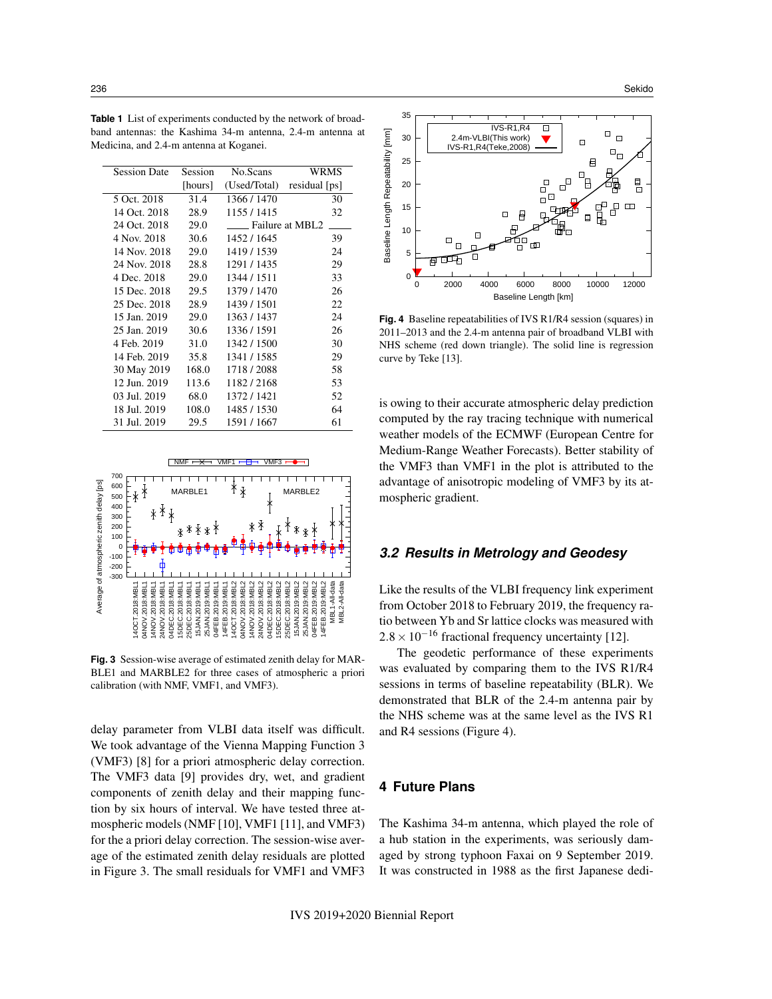| <b>Session Date</b> | Session | No.Scans        | <b>WRMS</b>   |
|---------------------|---------|-----------------|---------------|
|                     | [hours] | (Used/Total)    | residual [ps] |
| 5 Oct. 2018         | 31.4    | 1366 / 1470     | 30            |
| 14 Oct. 2018        | 28.9    | 1155/1415       | 32            |
| 24 Oct. 2018        | 29.0    | Failure at MBL2 |               |
| 4 Nov. 2018         | 30.6    | 1452/1645       | 39            |
| 14 Nov. 2018        | 29.0    | 1419/1539       | 24            |
| 24 Nov. 2018        | 28.8    | 1291/1435       | 29            |
| 4 Dec. 2018         | 29.0    | 1344 / 1511     | 33            |
| 15 Dec. 2018        | 29.5    | 1379 / 1470     | 26            |
| 25 Dec. 2018        | 28.9    | 1439 / 1501     | 22            |
| 15 Jan. 2019        | 29.0    | 1363/1437       | 24            |
| 25 Jan. 2019        | 30.6    | 1336/1591       | 26            |
| 4 Feb. 2019         | 31.0    | 1342/1500       | 30            |
| 14 Feb. 2019        | 35.8    | 1341 / 1585     | 29            |
| 30 May 2019         | 168.0   | 1718/2088       | 58            |
| 12 Jun. 2019        | 113.6   | 1182/2168       | 53            |
| 03 Jul. 2019        | 68.0    | 1372/1421       | 52            |
| 18 Jul. 2019        | 108.0   | 1485 / 1530     | 64            |
| 31 Jul. 2019        | 29.5    | 1591/1667       | 61            |

**Table 1** List of experiments conducted by the network of broadband antennas: the Kashima 34-m antenna, 2.4-m antenna at Medicina, and 2.4-m antenna at Koganei.



**Fig. 3** Session-wise average of estimated zenith delay for MAR-BLE1 and MARBLE2 for three cases of atmospheric a priori calibration (with NMF, VMF1, and VMF3).

delay parameter from VLBI data itself was difficult. We took advantage of the Vienna Mapping Function 3 (VMF3) [8] for a priori atmospheric delay correction. The VMF3 data [9] provides dry, wet, and gradient components of zenith delay and their mapping function by six hours of interval. We have tested three atmospheric models (NMF [10], VMF1 [11], and VMF3) for the a priori delay correction. The session-wise average of the estimated zenith delay residuals are plotted in Figure 3. The small residuals for VMF1 and VMF3



**Fig. 4** Baseline repeatabilities of IVS R1/R4 session (squares) in 2011–2013 and the 2.4-m antenna pair of broadband VLBI with NHS scheme (red down triangle). The solid line is regression curve by Teke [13].

is owing to their accurate atmospheric delay prediction computed by the ray tracing technique with numerical weather models of the ECMWF (European Centre for Medium-Range Weather Forecasts). Better stability of the VMF3 than VMF1 in the plot is attributed to the advantage of anisotropic modeling of VMF3 by its atmospheric gradient.

### *3.2 Results in Metrology and Geodesy*

Like the results of the VLBI frequency link experiment from October 2018 to February 2019, the frequency ratio between Yb and Sr lattice clocks was measured with  $2.8 \times 10^{-16}$  fractional frequency uncertainty [12].

The geodetic performance of these experiments was evaluated by comparing them to the IVS R1/R4 sessions in terms of baseline repeatability (BLR). We demonstrated that BLR of the 2.4-m antenna pair by the NHS scheme was at the same level as the IVS R1 and R4 sessions (Figure 4).

### **4 Future Plans**

The Kashima 34-m antenna, which played the role of a hub station in the experiments, was seriously damaged by strong typhoon Faxai on 9 September 2019. It was constructed in 1988 as the first Japanese dedi